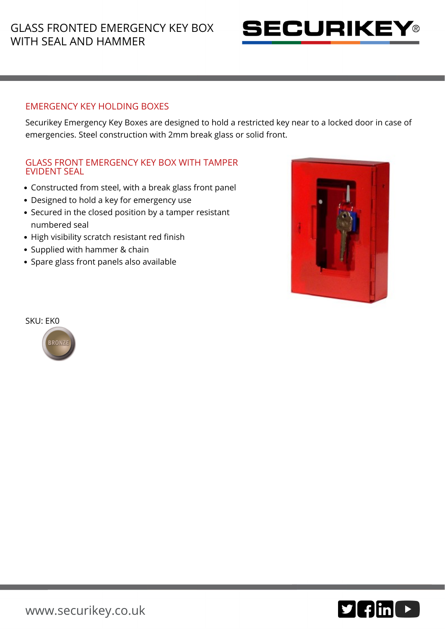# GLASS FRONTED EMERGENCY KEY BOX WITH SEAL AND HAMMER



### EMERGENCY KEY HOLDING BOXES

Securikey Emergency Key Boxes are designed to hold a restricted key near to a locked door in case of emergencies. Steel construction with 2mm break glass or solid front.

#### GLASS FRONT EMERGENCY KEY BOX WITH TAMPER EVIDENT SEAL

- Constructed from steel, with a break glass front panel
- Designed to hold a key for emergency use
- Secured in the closed position by a tamper resistant numbered seal
- High visibility scratch resistant red finish
- Supplied with hammer & chain
- Spare glass front panels also available





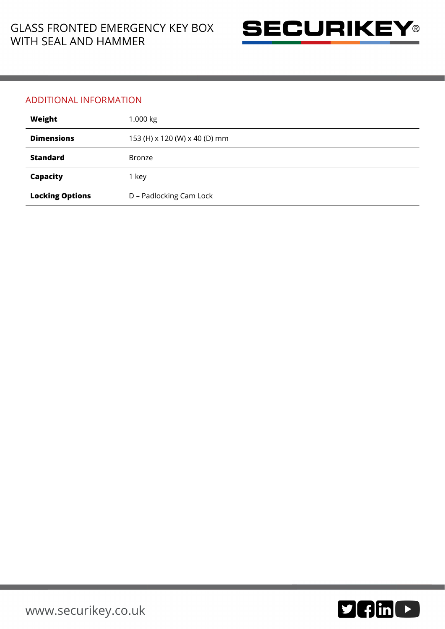

#### ADDITIONAL INFORMATION

| Weight                 | 1.000 kg                      |
|------------------------|-------------------------------|
| <b>Dimensions</b>      | 153 (H) x 120 (W) x 40 (D) mm |
| <b>Standard</b>        | <b>Bronze</b>                 |
| Capacity               | 1 key                         |
| <b>Locking Options</b> | D - Padlocking Cam Lock       |

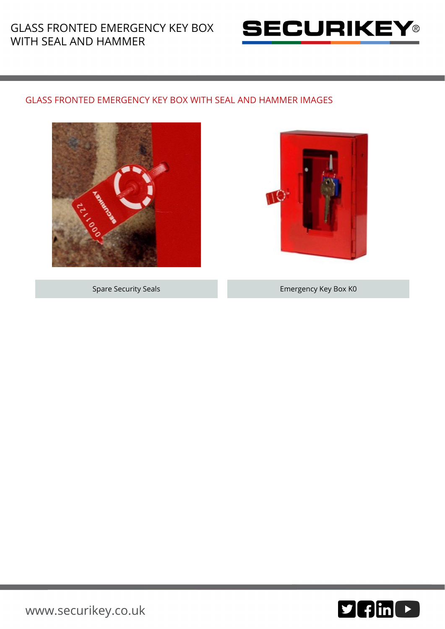# GLASS FRONTED EMERGENCY KEY BOX WITH SEAL AND HAMMER



### GLASS FRONTED EMERGENCY KEY BOX WITH SEAL AND HAMMER IMAGES





Spare Security Seals Emergency Key Box K0